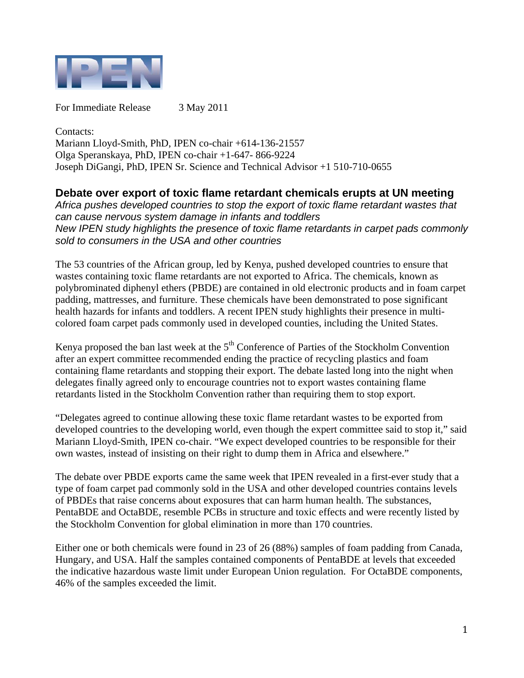

For Immediate Release 3 May 2011

Contacts: Mariann Lloyd-Smith, PhD, IPEN co-chair +614-136-21557 Olga Speranskaya, PhD, IPEN co-chair +1-647- 866-9224 Joseph DiGangi, PhD, IPEN Sr. Science and Technical Advisor +1 510-710-0655

## **Debate over export of toxic flame retardant chemicals erupts at UN meeting**

*Africa pushes developed countries to stop the export of toxic flame retardant wastes that can cause nervous system damage in infants and toddlers New IPEN study highlights the presence of toxic flame retardants in carpet pads commonly sold to consumers in the USA and other countries* 

The 53 countries of the African group, led by Kenya, pushed developed countries to ensure that wastes containing toxic flame retardants are not exported to Africa. The chemicals, known as polybrominated diphenyl ethers (PBDE) are contained in old electronic products and in foam carpet padding, mattresses, and furniture. These chemicals have been demonstrated to pose significant health hazards for infants and toddlers. A recent IPEN study highlights their presence in multicolored foam carpet pads commonly used in developed counties, including the United States.

Kenya proposed the ban last week at the  $5<sup>th</sup>$  Conference of Parties of the Stockholm Convention after an expert committee recommended ending the practice of recycling plastics and foam containing flame retardants and stopping their export. The debate lasted long into the night when delegates finally agreed only to encourage countries not to export wastes containing flame retardants listed in the Stockholm Convention rather than requiring them to stop export.

"Delegates agreed to continue allowing these toxic flame retardant wastes to be exported from developed countries to the developing world, even though the expert committee said to stop it," said Mariann Lloyd-Smith, IPEN co-chair. "We expect developed countries to be responsible for their own wastes, instead of insisting on their right to dump them in Africa and elsewhere."

The debate over PBDE exports came the same week that IPEN revealed in a first-ever study that a type of foam carpet pad commonly sold in the USA and other developed countries contains levels of PBDEs that raise concerns about exposures that can harm human health. The substances, PentaBDE and OctaBDE, resemble PCBs in structure and toxic effects and were recently listed by the Stockholm Convention for global elimination in more than 170 countries.

Either one or both chemicals were found in 23 of 26 (88%) samples of foam padding from Canada, Hungary, and USA. Half the samples contained components of PentaBDE at levels that exceeded the indicative hazardous waste limit under European Union regulation. For OctaBDE components, 46% of the samples exceeded the limit.